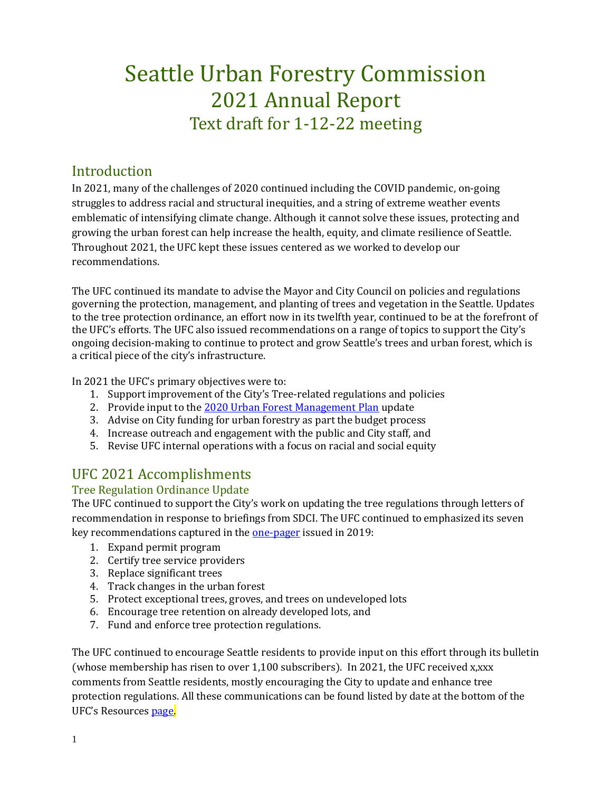# Seattle Urban Forestry Commission 2021 Annual Report Text draft for 1-12-22 meeting

## Introduction

In 2021, many of the challenges of 2020 continued including the COVID pandemic, on-going struggles to address racial and structural inequities, and a string of extreme weather events emblematic of intensifying climate change. Although it cannot solve these issues, protecting and growing the urban forest can help increase the health, equity, and climate resilience of Seattle. Throughout 2021, the UFC kept these issues centered as we worked to develop our recommendations.

The UFC continued its mandate to advise the Mayor and City Council on policies and regulations governing the protection, management, and planting of trees and vegetation in the Seattle. Updates to the tree protection ordinance, an effort now in its twelfth year, continued to be at the forefront of the UFC's efforts. The UFC also issued recommendations on a range of topics to support the City's ongoing decision-making to continue to protect and grow Seattle's trees and urban forest, which is a critical piece of the city's infrastructure.

In 2021 the UFC's primary objectives were to:

- 1. Support improvement of the City's Tree-related regulations and policies
- 2. Provide input to the [2020 Urban Forest Management Plan](http://www.seattle.gov/trees/management) update
- 3. Advise on City funding for urban forestry as part the budget process
- 4. Increase outreach and engagement with the public and City staff, and
- 5. Revise UFC internal operations with a focus on racial and social equity

# UFC 2021 Accomplishments

### Tree Regulation Ordinance Update

The UFC continued to support the City's work on updating the tree regulations through letters of recommendation in response to briefings from SDCI. The UFC continued to emphasized its seven key recommendations captured in the [one-pager](http://www.seattle.gov/Documents/Departments/UrbanForestryCommission/Resources/ADOPTEDTPOUpdateOnePager100919.pdf) issued in 2019:

- 1. Expand permit program
- 2. Certify tree service providers
- 3. Replace significant trees
- 4. Track changes in the urban forest
- 5. Protect exceptional trees, groves, and trees on undeveloped lots
- 6. Encourage tree retention on already developed lots, and
- 7. Fund and enforce tree protection regulations.

The UFC continued to encourage Seattle residents to provide input on this effort through its bulletin (whose membership has risen to over 1,100 subscribers). In 2021, the UFC received x,xxx comments from Seattle residents, mostly encouraging the City to update and enhance tree protection regulations. All these communications can be found listed by date at the bottom of the UFC's Resources [page.](http://www.seattle.gov/urbanforestrycommission/resources)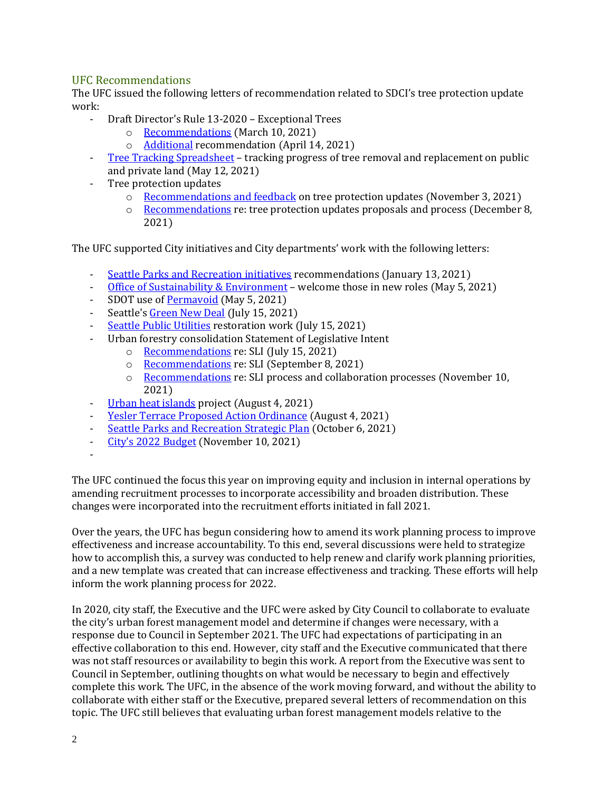#### UFC Recommendations

The UFC issued the following letters of recommendation related to SDCI's tree protection update work:

- Draft Director's Rule 13-2020 Exceptional Trees
	- o [Recommendations](https://www.seattle.gov/Documents/Departments/UrbanForestryCommission/FinalIssuedDocuments/WhatWeDo-Recomms/ADOPTEDDR13-2020recommendation031021.pdf) (March 10, 2021)
	- o [Additional](https://www.seattle.gov/Documents/Departments/UrbanForestryCommission/FinalIssuedDocuments/WhatWeDo-Recomms/ADOPTEDDR13-2020recommendation041421.pdf) recommendation (April 14, 2021)
- [Tree Tracking Spreadsheet](https://www.seattle.gov/Documents/Departments/UrbanForestryCommission/FinalIssuedDocuments/WhatWeDo-Recomms/ADOPTEDTreeTrackingLetter051221.pdf) tracking progress of tree removal and replacement on public and private land (May 12, 2021)
- Tree protection updates
	- o [Recommendations and feedback](https://www.seattle.gov/Documents/Departments/UrbanForestryCommission/2021/2021docs/ADOPTEDSDCIFeedbackLetter110321.pdf) on tree protection updates (November 3, 2021)
	- o [Recommendations](https://www.seattle.gov/Documents/Departments/UrbanForestryCommission/2021/2021docs/ADOPTEDTreeOrdinanceUpdateLetter120821.pdf) re: tree protection updates proposals and process (December 8, 2021)

The UFC supported City initiatives and City departments' work with the following letters:

- [Seattle Parks and Recreation initiatives](https://www.seattle.gov/Documents/Departments/UrbanForestryCommission/FinalIssuedDocuments/WhatWeDo-Recomms/ADOPTEDSPRupdateThankYou011321.pdf) recommendations (January 13, 2021)
- [Office of Sustainability & Environment](https://www.seattle.gov/Documents/Departments/UrbanForestryCommission/FinalIssuedDocuments/WhatWeDo-Recomms/ADOPTEDOSEContrats050521.pdf) welcome those in new roles (May 5, 2021)
- SDOT use of [Permavoid](https://www.seattle.gov/Documents/Departments/UrbanForestryCommission/FinalIssuedDocuments/WhatWeDo-Recomms/ADOPTED-SDOTnPermavoid050521.pdf) (May 5, 2021)
- Seattle'[s Green New Deal](https://www.seattle.gov/Documents/Departments/UrbanForestryCommission/2021/2021docs/ADOPTEDGNDThankYouLetter071521.pdf) (July 15, 2021)
- [Seattle Public Utilities](https://www.seattle.gov/Documents/Departments/UrbanForestryCommission/2021/2021docs/ADOPTEDSPUThankYouLetter071521.pdf) restoration work (July 15, 2021)
- Urban forestry consolidation Statement of Legislative Intent
	- o [Recommendations](https://www.seattle.gov/Documents/Departments/UrbanForestryCommission/2021/2021docs/ADOPTEDSLILetter071521.pdf) re: SLI (July 15, 2021)
	- o [Recommendations](https://www.seattle.gov/Documents/Departments/UrbanForestryCommission/2021/2021docs/ADOPTEDSLILetter090821.pdf) re: SLI (September 8, 2021)
	- $\circ$  [Recommendations](https://www.seattle.gov/Documents/Departments/UrbanForestryCommission/2021/2021docs/ADOPTEDSLILetter111021.pdf) re: SLI process and collaboration processes (November 10, 2021)
- [Urban heat islands](https://www.seattle.gov/Documents/Departments/UrbanForestryCommission/2021/2021docs/ADOPTEDHeatIslandsLetter080421.pdf) project (August 4, 2021)
- [Yesler Terrace Proposed Action Ordinance](https://www.seattle.gov/Documents/Departments/UrbanForestryCommission/2021/2021docs/ADOPTEDYeslerTerraceLetter080421.pdf) (August 4, 2021)
- [Seattle Parks and Recreation Strategic Plan](https://www.seattle.gov/Documents/Departments/UrbanForestryCommission/2021/2021docs/ADOPTEDSPRFeedbackLetter100621.pdf) (October 6, 2021)
- [City's 2022 Budget](https://www.seattle.gov/Documents/Departments/UrbanForestryCommission/2021/2021docs/ADOPTEDBudgetLetter111021.pdf) (November 10, 2021)
- -

The UFC continued the focus this year on improving equity and inclusion in internal operations by amending recruitment processes to incorporate accessibility and broaden distribution. These changes were incorporated into the recruitment efforts initiated in fall 2021.

Over the years, the UFC has begun considering how to amend its work planning process to improve effectiveness and increase accountability. To this end, several discussions were held to strategize how to accomplish this, a survey was conducted to help renew and clarify work planning priorities, and a new template was created that can increase effectiveness and tracking. These efforts will help inform the work planning process for 2022.

In 2020, city staff, the Executive and the UFC were asked by City Council to collaborate to evaluate the city's urban forest management model and determine if changes were necessary, with a response due to Council in September 2021. The UFC had expectations of participating in an effective collaboration to this end. However, city staff and the Executive communicated that there was not staff resources or availability to begin this work. A report from the Executive was sent to Council in September, outlining thoughts on what would be necessary to begin and effectively complete this work. The UFC, in the absence of the work moving forward, and without the ability to collaborate with either staff or the Executive, prepared several letters of recommendation on this topic. The UFC still believes that evaluating urban forest management models relative to the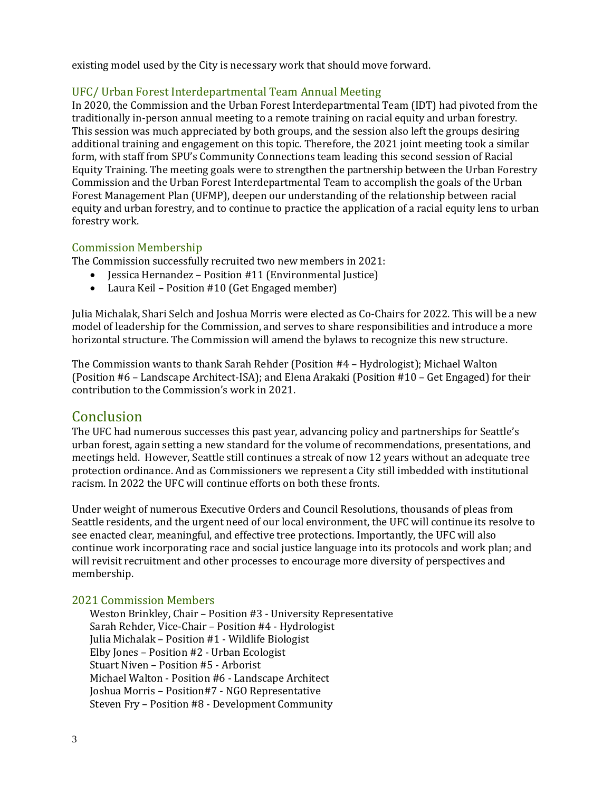existing model used by the City is necessary work that should move forward.

#### UFC/ Urban Forest Interdepartmental Team Annual Meeting

In 2020, the Commission and the Urban Forest Interdepartmental Team (IDT) had pivoted from the traditionally in-person annual meeting to a remote training on racial equity and urban forestry. This session was much appreciated by both groups, and the session also left the groups desiring additional training and engagement on this topic. Therefore, the 2021 joint meeting took a similar form, with staff from SPU's Community Connections team leading this second session of Racial Equity Training. The meeting goals were to strengthen the partnership between the Urban Forestry Commission and the Urban Forest Interdepartmental Team to accomplish the goals of the Urban Forest Management Plan (UFMP), deepen our understanding of the relationship between racial equity and urban forestry, and to continue to practice the application of a racial equity lens to urban forestry work.

#### Commission Membership

The Commission successfully recruited two new members in 2021:

- Jessica Hernandez Position #11 (Environmental Justice)
- Laura Keil Position #10 (Get Engaged member)

Julia Michalak, Shari Selch and Joshua Morris were elected as Co-Chairs for 2022. This will be a new model of leadership for the Commission, and serves to share responsibilities and introduce a more horizontal structure. The Commission will amend the bylaws to recognize this new structure.

The Commission wants to thank Sarah Rehder (Position #4 – Hydrologist); Michael Walton (Position #6 – Landscape Architect-ISA); and Elena Arakaki (Position #10 – Get Engaged) for their contribution to the Commission's work in 2021.

## **Conclusion**

The UFC had numerous successes this past year, advancing policy and partnerships for Seattle's urban forest, again setting a new standard for the volume of recommendations, presentations, and meetings held. However, Seattle still continues a streak of now 12 years without an adequate tree protection ordinance. And as Commissioners we represent a City still imbedded with institutional racism. In 2022 the UFC will continue efforts on both these fronts.

Under weight of numerous Executive Orders and Council Resolutions, thousands of pleas from Seattle residents, and the urgent need of our local environment, the UFC will continue its resolve to see enacted clear, meaningful, and effective tree protections. Importantly, the UFC will also continue work incorporating race and social justice language into its protocols and work plan; and will revisit recruitment and other processes to encourage more diversity of perspectives and membership.

#### 2021 Commission Members

Weston Brinkley, Chair – Position #3 - University Representative Sarah Rehder, Vice-Chair – Position #4 - Hydrologist Julia Michalak – Position #1 - Wildlife Biologist Elby Jones – Position #2 - Urban Ecologist Stuart Niven – Position #5 - Arborist Michael Walton - Position #6 - Landscape Architect Joshua Morris – Position#7 - NGO Representative Steven Fry – Position #8 - Development Community